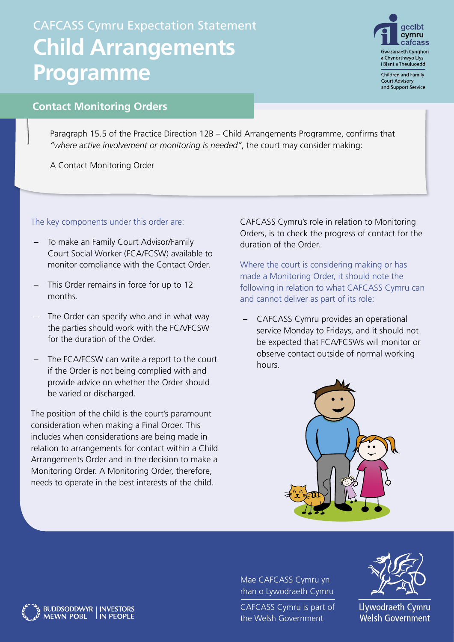## CAFCASS Cymru Expectation Statement **Child Arrangements Programme**



Children and Family **Court Advisory** and Support Service

## **Contact Monitoring Orders**

Paragraph 15.5 of the Practice Direction 12B – Child Arrangements Programme, confirms that *"where active involvement or monitoring is needed"*, the court may consider making:

A Contact Monitoring Order

The key components under this order are:

- To make an Family Court Advisor/Family Court Social Worker (FCA/FCSW) available to monitor compliance with the Contact Order.
- This Order remains in force for up to 12 months.
- The Order can specify who and in what way the parties should work with the FCA/FCSW for the duration of the Order.
- The FCA/FCSW can write a report to the court if the Order is not being complied with and provide advice on whether the Order should be varied or discharged.

The position of the child is the court's paramount consideration when making a Final Order. This includes when considerations are being made in relation to arrangements for contact within a Child Arrangements Order and in the decision to make a Monitoring Order. A Monitoring Order, therefore, needs to operate in the best interests of the child.

BUDDSODDWYR | INVESTORS<br>MEWN POBL | IN PEOPLE

CAFCASS Cymru's role in relation to Monitoring Orders, is to check the progress of contact for the duration of the Order.

Where the court is considering making or has made a Monitoring Order, it should note the following in relation to what CAFCASS Cymru can and cannot deliver as part of its role:

– CAFCASS Cymru provides an operational service Monday to Fridays, and it should not be expected that FCA/FCSWs will monitor or observe contact outside of normal working hours.



Mae CAFCASS Cymru yn rhan o Lywodraeth Cymru

CAFCASS Cymru is part of the Welsh Government



Llywodraeth Cymru **Welsh Government**